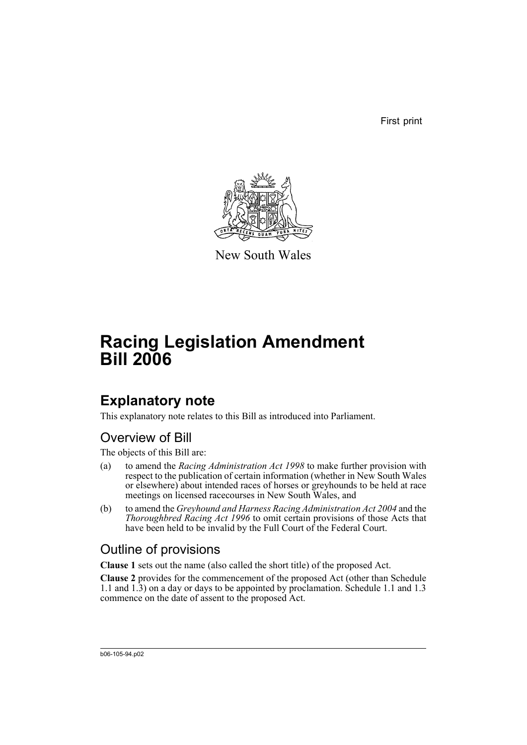First print



New South Wales

# **Racing Legislation Amendment Bill 2006**

## **Explanatory note**

This explanatory note relates to this Bill as introduced into Parliament.

## Overview of Bill

The objects of this Bill are:

- (a) to amend the *Racing Administration Act 1998* to make further provision with respect to the publication of certain information (whether in New South Wales or elsewhere) about intended races of horses or greyhounds to be held at race meetings on licensed racecourses in New South Wales, and
- (b) to amend the *Greyhound and Harness Racing Administration Act 2004* and the *Thoroughbred Racing Act 1996* to omit certain provisions of those Acts that have been held to be invalid by the Full Court of the Federal Court.

### Outline of provisions

**Clause 1** sets out the name (also called the short title) of the proposed Act.

**Clause 2** provides for the commencement of the proposed Act (other than Schedule 1.1 and 1.3) on a day or days to be appointed by proclamation. Schedule 1.1 and 1.3 commence on the date of assent to the proposed Act.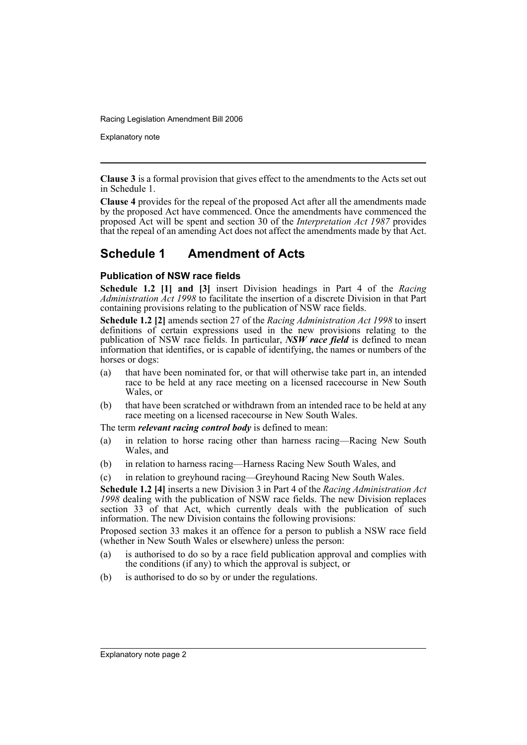Explanatory note

**Clause 3** is a formal provision that gives effect to the amendments to the Acts set out in Schedule 1.

**Clause 4** provides for the repeal of the proposed Act after all the amendments made by the proposed Act have commenced. Once the amendments have commenced the proposed Act will be spent and section 30 of the *Interpretation Act 1987* provides that the repeal of an amending Act does not affect the amendments made by that Act.

### **Schedule 1 Amendment of Acts**

#### **Publication of NSW race fields**

**Schedule 1.2 [1] and [3]** insert Division headings in Part 4 of the *Racing Administration Act 1998* to facilitate the insertion of a discrete Division in that Part containing provisions relating to the publication of NSW race fields.

**Schedule 1.2 [2]** amends section 27 of the *Racing Administration Act 1998* to insert definitions of certain expressions used in the new provisions relating to the publication of NSW race fields. In particular, *NSW race field* is defined to mean information that identifies, or is capable of identifying, the names or numbers of the horses or dogs:

- (a) that have been nominated for, or that will otherwise take part in, an intended race to be held at any race meeting on a licensed racecourse in New South Wales, or
- (b) that have been scratched or withdrawn from an intended race to be held at any race meeting on a licensed racecourse in New South Wales.

The term *relevant racing control body* is defined to mean:

- (a) in relation to horse racing other than harness racing—Racing New South Wales, and
- (b) in relation to harness racing—Harness Racing New South Wales, and
- (c) in relation to greyhound racing—Greyhound Racing New South Wales.

**Schedule 1.2 [4]** inserts a new Division 3 in Part 4 of the *Racing Administration Act 1998* dealing with the publication of NSW race fields. The new Division replaces section 33 of that Act, which currently deals with the publication of such information. The new Division contains the following provisions:

Proposed section 33 makes it an offence for a person to publish a NSW race field (whether in New South Wales or elsewhere) unless the person:

- (a) is authorised to do so by a race field publication approval and complies with the conditions (if any) to which the approval is subject, or
- (b) is authorised to do so by or under the regulations.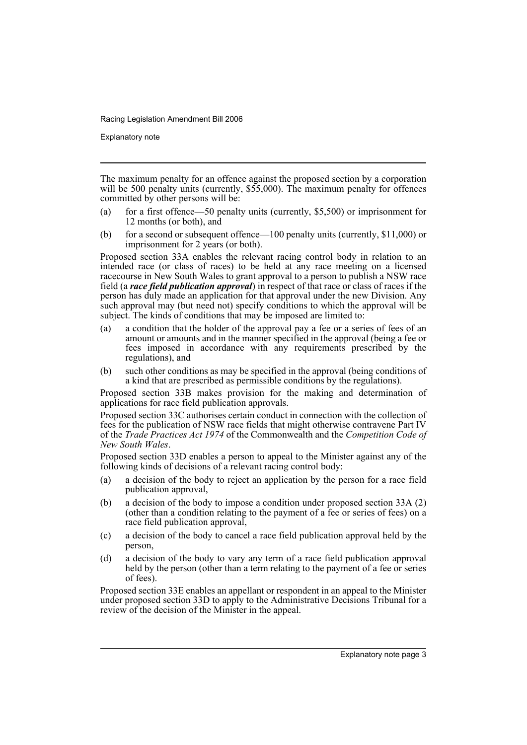Explanatory note

The maximum penalty for an offence against the proposed section by a corporation will be 500 penalty units (currently, \$55,000). The maximum penalty for offences committed by other persons will be:

- (a) for a first offence—50 penalty units (currently, \$5,500) or imprisonment for 12 months (or both), and
- (b) for a second or subsequent offence—100 penalty units (currently, \$11,000) or imprisonment for 2 years (or both).

Proposed section 33A enables the relevant racing control body in relation to an intended race (or class of races) to be held at any race meeting on a licensed racecourse in New South Wales to grant approval to a person to publish a NSW race field (a *race field publication approval*) in respect of that race or class of races if the person has duly made an application for that approval under the new Division. Any such approval may (but need not) specify conditions to which the approval will be subject. The kinds of conditions that may be imposed are limited to:

- (a) a condition that the holder of the approval pay a fee or a series of fees of an amount or amounts and in the manner specified in the approval (being a fee or fees imposed in accordance with any requirements prescribed by the regulations), and
- (b) such other conditions as may be specified in the approval (being conditions of a kind that are prescribed as permissible conditions by the regulations).

Proposed section 33B makes provision for the making and determination of applications for race field publication approvals.

Proposed section 33C authorises certain conduct in connection with the collection of fees for the publication of NSW race fields that might otherwise contravene Part IV of the *Trade Practices Act 1974* of the Commonwealth and the *Competition Code of New South Wales*.

Proposed section 33D enables a person to appeal to the Minister against any of the following kinds of decisions of a relevant racing control body:

- (a) a decision of the body to reject an application by the person for a race field publication approval,
- (b) a decision of the body to impose a condition under proposed section 33A (2) (other than a condition relating to the payment of a fee or series of fees) on a race field publication approval,
- (c) a decision of the body to cancel a race field publication approval held by the person,
- (d) a decision of the body to vary any term of a race field publication approval held by the person (other than a term relating to the payment of a fee or series of fees).

Proposed section 33E enables an appellant or respondent in an appeal to the Minister under proposed section 33D to apply to the Administrative Decisions Tribunal for a review of the decision of the Minister in the appeal.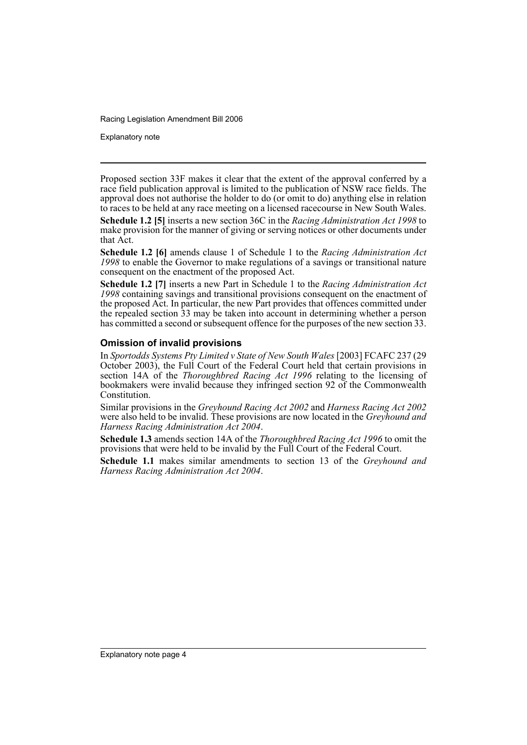Explanatory note

Proposed section 33F makes it clear that the extent of the approval conferred by a race field publication approval is limited to the publication of NSW race fields. The approval does not authorise the holder to do (or omit to do) anything else in relation to races to be held at any race meeting on a licensed racecourse in New South Wales.

**Schedule 1.2 [5]** inserts a new section 36C in the *Racing Administration Act 1998* to make provision for the manner of giving or serving notices or other documents under that Act.

**Schedule 1.2 [6]** amends clause 1 of Schedule 1 to the *Racing Administration Act 1998* to enable the Governor to make regulations of a savings or transitional nature consequent on the enactment of the proposed Act.

**Schedule 1.2 [7]** inserts a new Part in Schedule 1 to the *Racing Administration Act 1998* containing savings and transitional provisions consequent on the enactment of the proposed Act. In particular, the new Part provides that offences committed under the repealed section 33 may be taken into account in determining whether a person has committed a second or subsequent offence for the purposes of the new section 33.

#### **Omission of invalid provisions**

In *Sportodds Systems Pty Limited v State of New South Wales* [2003] FCAFC 237 (29 October 2003), the Full Court of the Federal Court held that certain provisions in section 14A of the *Thoroughbred Racing Act 1996* relating to the licensing of bookmakers were invalid because they infringed section 92 of the Commonwealth Constitution.

Similar provisions in the *Greyhound Racing Act 2002* and *Harness Racing Act 2002* were also held to be invalid. These provisions are now located in the *Greyhound and Harness Racing Administration Act 2004*.

**Schedule 1.3** amends section 14A of the *Thoroughbred Racing Act 1996* to omit the provisions that were held to be invalid by the Full Court of the Federal Court.

**Schedule 1.1** makes similar amendments to section 13 of the *Greyhound and Harness Racing Administration Act 2004*.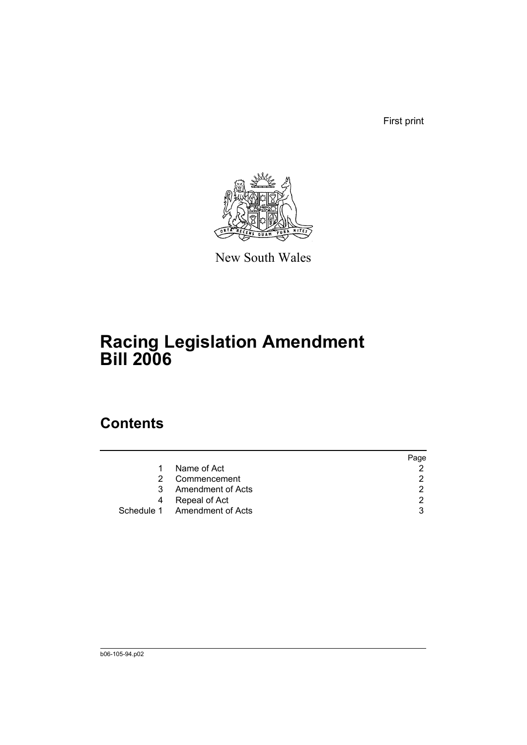First print



New South Wales

## **Racing Legislation Amendment Bill 2006**

## **Contents**

|                                   | Page          |
|-----------------------------------|---------------|
| Name of Act<br>1                  | 2.            |
| Commencement<br>$\mathcal{P}$     | 2.            |
| Amendment of Acts<br>$\mathbf{3}$ | $\mathcal{D}$ |
| Repeal of Act<br>4                | 2             |
| Schedule 1 Amendment of Acts      | 3             |
|                                   |               |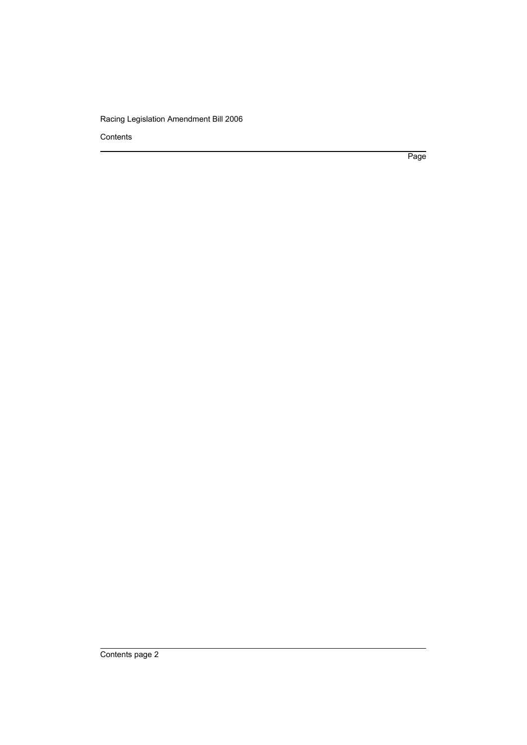Contents

Page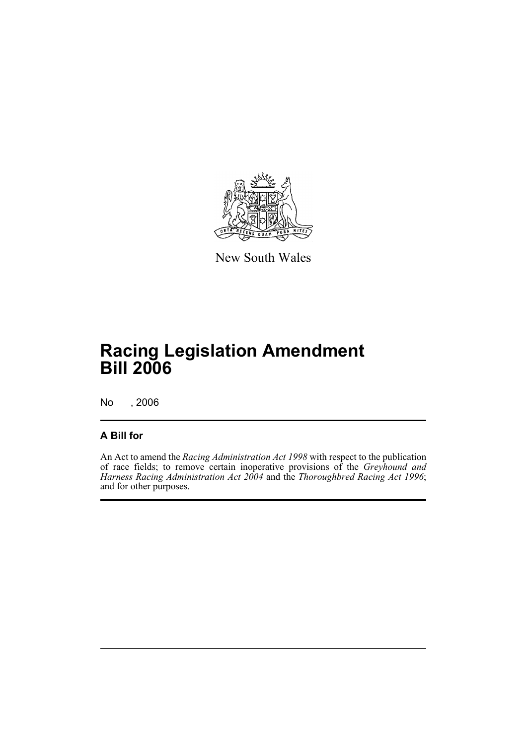

New South Wales

## **Racing Legislation Amendment Bill 2006**

No , 2006

### **A Bill for**

An Act to amend the *Racing Administration Act 1998* with respect to the publication of race fields; to remove certain inoperative provisions of the *Greyhound and Harness Racing Administration Act 2004* and the *Thoroughbred Racing Act 1996*; and for other purposes.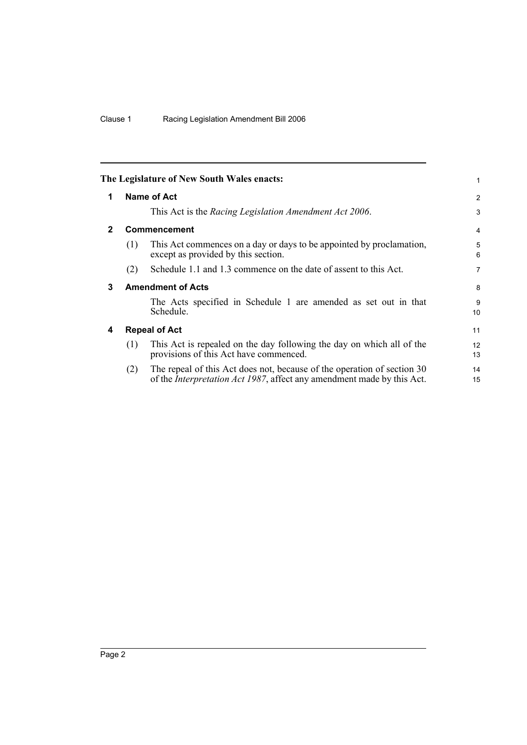|              |                      | The Legislature of New South Wales enacts:                                                                                                                | 1              |
|--------------|----------------------|-----------------------------------------------------------------------------------------------------------------------------------------------------------|----------------|
| 1            |                      | Name of Act                                                                                                                                               | 2              |
|              |                      | This Act is the Racing Legislation Amendment Act 2006.                                                                                                    | 3              |
| $\mathbf{2}$ |                      | <b>Commencement</b>                                                                                                                                       | 4              |
|              | (1)                  | This Act commences on a day or days to be appointed by proclamation,<br>except as provided by this section.                                               | 5<br>6         |
|              | (2)                  | Schedule 1.1 and 1.3 commence on the date of assent to this Act.                                                                                          | $\overline{7}$ |
| 3            |                      | <b>Amendment of Acts</b>                                                                                                                                  | 8              |
|              |                      | The Acts specified in Schedule 1 are amended as set out in that<br>Schedule.                                                                              | 9<br>10        |
| 4            | <b>Repeal of Act</b> |                                                                                                                                                           | 11             |
|              | (1)                  | This Act is repealed on the day following the day on which all of the<br>provisions of this Act have commenced.                                           | 12<br>13       |
|              | (2)                  | The repeal of this Act does not, because of the operation of section 30<br>of the <i>Interpretation Act 1987</i> , affect any amendment made by this Act. | 14<br>15       |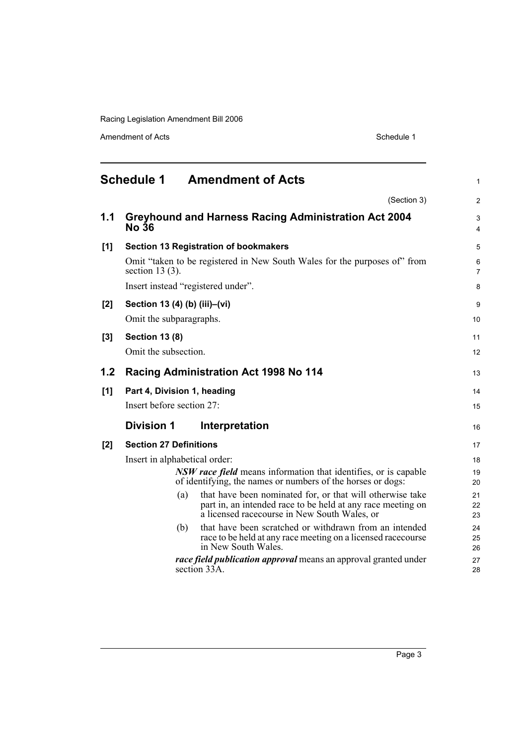Amendment of Acts Schedule 1

|     | <b>Schedule 1</b>                     |     | <b>Amendment of Acts</b>                                                                                                                                                 | $\mathbf{1}$        |
|-----|---------------------------------------|-----|--------------------------------------------------------------------------------------------------------------------------------------------------------------------------|---------------------|
|     |                                       |     | (Section 3)                                                                                                                                                              | $\overline{2}$      |
| 1.1 | <b>No 36</b>                          |     | <b>Greyhound and Harness Racing Administration Act 2004</b>                                                                                                              | 3<br>$\overline{4}$ |
| [1] |                                       |     | <b>Section 13 Registration of bookmakers</b>                                                                                                                             | 5                   |
|     | section 13 $(3)$ .                    |     | Omit "taken to be registered in New South Wales for the purposes of" from                                                                                                | 6<br>$\overline{7}$ |
|     |                                       |     | Insert instead "registered under".                                                                                                                                       | 8                   |
| [2] | Section 13 (4) (b) (iii)–(vi)         |     |                                                                                                                                                                          | 9                   |
|     | Omit the subparagraphs.               |     |                                                                                                                                                                          | 10                  |
| [3] | <b>Section 13 (8)</b>                 |     |                                                                                                                                                                          | 11                  |
|     | Omit the subsection.                  |     |                                                                                                                                                                          | 12                  |
| 1.2 | Racing Administration Act 1998 No 114 |     |                                                                                                                                                                          | 13                  |
| [1] | Part 4, Division 1, heading           |     |                                                                                                                                                                          | 14                  |
|     | Insert before section 27:             |     |                                                                                                                                                                          | 15                  |
|     | <b>Division 1</b>                     |     | Interpretation                                                                                                                                                           | 16                  |
| [2] | <b>Section 27 Definitions</b>         |     |                                                                                                                                                                          | 17                  |
|     | Insert in alphabetical order:         |     |                                                                                                                                                                          | 18                  |
|     |                                       |     | <i>NSW race field</i> means information that identifies, or is capable<br>of identifying, the names or numbers of the horses or dogs:                                    | 19<br>20            |
|     |                                       | (a) | that have been nominated for, or that will otherwise take<br>part in, an intended race to be held at any race meeting on<br>a licensed racecourse in New South Wales, or | 21<br>22<br>23      |
|     |                                       | (b) | that have been scratched or withdrawn from an intended<br>race to be held at any race meeting on a licensed racecourse<br>in New South Wales.                            | 24<br>25<br>26      |
|     |                                       |     | <i>race field publication approval</i> means an approval granted under<br>section 33A.                                                                                   | 27<br>28            |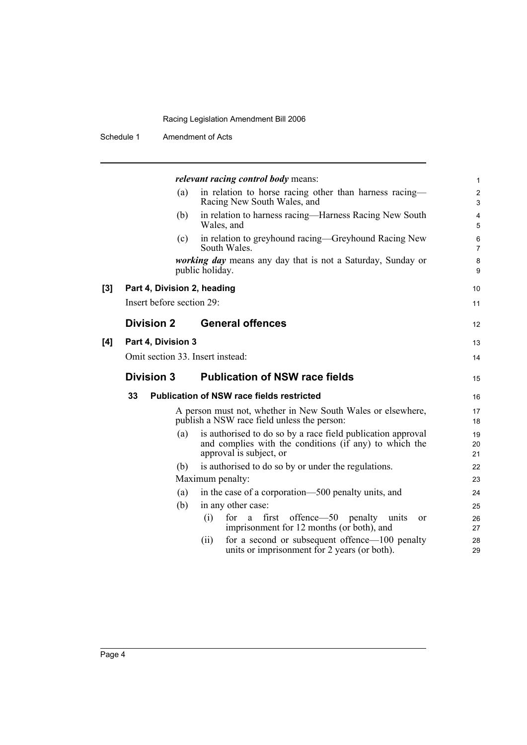|     |                                  | relevant racing control body means:                                                                                                              | $\mathbf{1}$        |
|-----|----------------------------------|--------------------------------------------------------------------------------------------------------------------------------------------------|---------------------|
|     | (a)                              | in relation to horse racing other than harness racing—<br>Racing New South Wales, and                                                            | $\overline{2}$<br>3 |
|     | (b)                              | in relation to harness racing—Harness Racing New South<br>Wales, and                                                                             | $\overline{4}$<br>5 |
|     | (c)                              | in relation to greyhound racing—Greyhound Racing New<br>South Wales.                                                                             | 6<br>$\overline{7}$ |
|     |                                  | <i>working day</i> means any day that is not a Saturday, Sunday or<br>public holiday.                                                            | 8<br>9              |
| [3] | Part 4, Division 2, heading      |                                                                                                                                                  | 10                  |
|     | Insert before section 29:        |                                                                                                                                                  | 11                  |
|     | <b>Division 2</b>                | <b>General offences</b>                                                                                                                          | 12                  |
| [4] | Part 4, Division 3               |                                                                                                                                                  | 13                  |
|     | Omit section 33. Insert instead: |                                                                                                                                                  | 14                  |
|     | <b>Division 3</b>                | <b>Publication of NSW race fields</b>                                                                                                            | 15                  |
|     | 33                               | <b>Publication of NSW race fields restricted</b>                                                                                                 | 16                  |
|     |                                  | A person must not, whether in New South Wales or elsewhere,<br>publish a NSW race field unless the person:                                       | 17<br>18            |
|     | (a)                              | is authorised to do so by a race field publication approval<br>and complies with the conditions (if any) to which the<br>approval is subject, or | 19<br>20<br>21      |
|     | (b)                              | is authorised to do so by or under the regulations.                                                                                              | 22                  |
|     |                                  | Maximum penalty:                                                                                                                                 | 23                  |
|     | (a)                              | in the case of a corporation—500 penalty units, and                                                                                              | 24                  |
|     | (b)                              | in any other case:                                                                                                                               | 25                  |
|     |                                  | first offence - 50<br>(i)<br>for<br>$\mathbf{a}$<br>penalty<br>units<br>$\alpha$<br>imprisonment for 12 months (or both), and                    | 26<br>27            |
|     |                                  | for a second or subsequent offence—100 penalty<br>(ii)<br>units or imprisonment for 2 years (or both).                                           | 28<br>29            |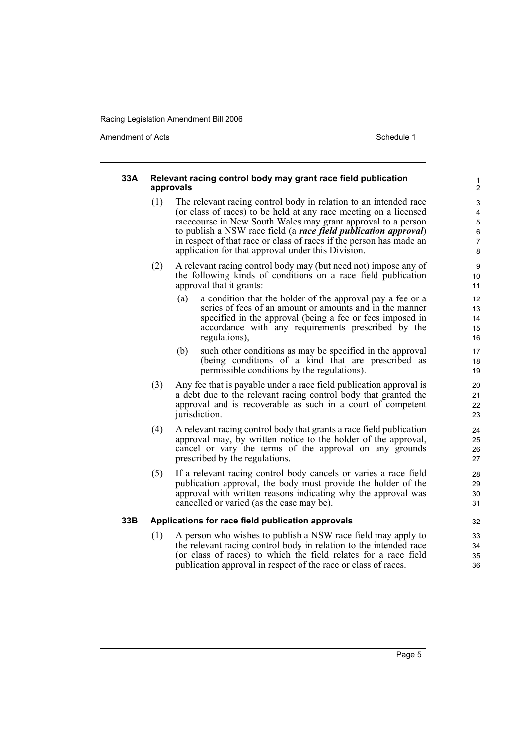Amendment of Acts **Amendment of Acts** Schedule 1

#### **33A Relevant racing control body may grant race field publication approvals**

- (1) The relevant racing control body in relation to an intended race (or class of races) to be held at any race meeting on a licensed racecourse in New South Wales may grant approval to a person to publish a NSW race field (a *race field publication approval*) in respect of that race or class of races if the person has made an application for that approval under this Division.
- (2) A relevant racing control body may (but need not) impose any of the following kinds of conditions on a race field publication approval that it grants:
	- (a) a condition that the holder of the approval pay a fee or a series of fees of an amount or amounts and in the manner specified in the approval (being a fee or fees imposed in accordance with any requirements prescribed by the regulations),
	- (b) such other conditions as may be specified in the approval (being conditions of a kind that are prescribed as permissible conditions by the regulations).
- (3) Any fee that is payable under a race field publication approval is a debt due to the relevant racing control body that granted the approval and is recoverable as such in a court of competent jurisdiction.
- (4) A relevant racing control body that grants a race field publication approval may, by written notice to the holder of the approval, cancel or vary the terms of the approval on any grounds prescribed by the regulations.
- (5) If a relevant racing control body cancels or varies a race field publication approval, the body must provide the holder of the approval with written reasons indicating why the approval was cancelled or varied (as the case may be).

#### **33B Applications for race field publication approvals**

(1) A person who wishes to publish a NSW race field may apply to the relevant racing control body in relation to the intended race (or class of races) to which the field relates for a race field publication approval in respect of the race or class of races.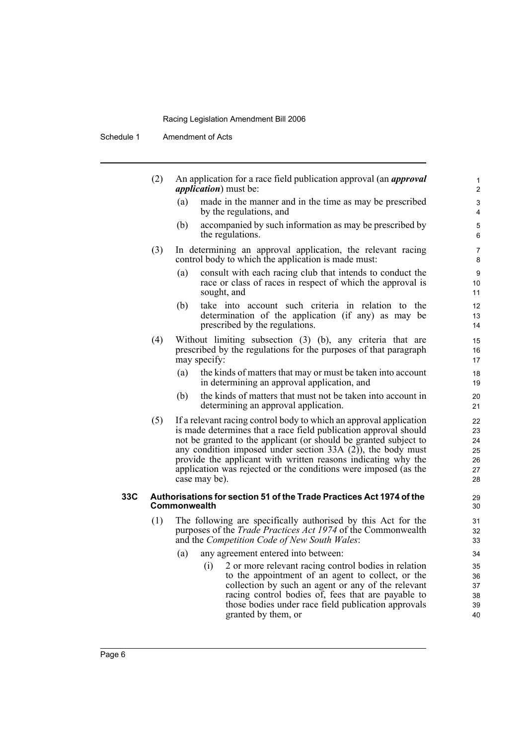Schedule 1 Amendment of Acts

|     | (2) |              | <i>application</i> ) must be:        | An application for a race field publication approval (an <i>approval</i>                                                                                                                                                                                                                                                                                                                                       | $\mathbf{1}$<br>$\overline{2}$         |
|-----|-----|--------------|--------------------------------------|----------------------------------------------------------------------------------------------------------------------------------------------------------------------------------------------------------------------------------------------------------------------------------------------------------------------------------------------------------------------------------------------------------------|----------------------------------------|
|     |     | (a)          | by the regulations, and              | made in the manner and in the time as may be prescribed                                                                                                                                                                                                                                                                                                                                                        | $\mathsf 3$<br>4                       |
|     |     | (b)          | the regulations.                     | accompanied by such information as may be prescribed by                                                                                                                                                                                                                                                                                                                                                        | $\mathbf 5$<br>6                       |
|     | (3) |              |                                      | In determining an approval application, the relevant racing<br>control body to which the application is made must:                                                                                                                                                                                                                                                                                             | $\overline{7}$<br>8                    |
|     |     | (a)          | sought, and                          | consult with each racing club that intends to conduct the<br>race or class of races in respect of which the approval is                                                                                                                                                                                                                                                                                        | $\boldsymbol{9}$<br>10<br>11           |
|     |     | (b)          | prescribed by the regulations.       | take into account such criteria in relation to the<br>determination of the application (if any) as may be                                                                                                                                                                                                                                                                                                      | 12<br>13<br>14                         |
|     | (4) |              | may specify:                         | Without limiting subsection $(3)$ $(b)$ , any criteria that are<br>prescribed by the regulations for the purposes of that paragraph                                                                                                                                                                                                                                                                            | 15<br>16<br>17                         |
|     |     | (a)          |                                      | the kinds of matters that may or must be taken into account<br>in determining an approval application, and                                                                                                                                                                                                                                                                                                     | 18<br>19                               |
|     |     | (b)          | determining an approval application. | the kinds of matters that must not be taken into account in                                                                                                                                                                                                                                                                                                                                                    | 20<br>21                               |
|     | (5) |              | case may be).                        | If a relevant racing control body to which an approval application<br>is made determines that a race field publication approval should<br>not be granted to the applicant (or should be granted subject to<br>any condition imposed under section $33A(2)$ , the body must<br>provide the applicant with written reasons indicating why the<br>application was rejected or the conditions were imposed (as the | 22<br>23<br>24<br>25<br>26<br>27<br>28 |
| 33C |     | Commonwealth |                                      | Authorisations for section 51 of the Trade Practices Act 1974 of the                                                                                                                                                                                                                                                                                                                                           | 29<br>30                               |
|     | (1) |              |                                      | The following are specifically authorised by this Act for the<br>purposes of the <i>Trade Practices Act 1974</i> of the Commonwealth<br>and the Competition Code of New South Wales:                                                                                                                                                                                                                           | 31<br>32<br>33                         |
|     |     | (a)          | any agreement entered into between:  |                                                                                                                                                                                                                                                                                                                                                                                                                | 34                                     |
|     |     |              | (i)                                  | 2 or more relevant racing control bodies in relation                                                                                                                                                                                                                                                                                                                                                           | 35                                     |
|     |     |              |                                      | to the appointment of an agent to collect, or the                                                                                                                                                                                                                                                                                                                                                              | 36                                     |
|     |     |              |                                      | collection by such an agent or any of the relevant<br>racing control bodies of, fees that are payable to                                                                                                                                                                                                                                                                                                       | 37<br>38                               |
|     |     |              |                                      | those bodies under race field publication approvals                                                                                                                                                                                                                                                                                                                                                            | 39                                     |
|     |     |              | granted by them, or                  |                                                                                                                                                                                                                                                                                                                                                                                                                | 40                                     |
|     |     |              |                                      |                                                                                                                                                                                                                                                                                                                                                                                                                |                                        |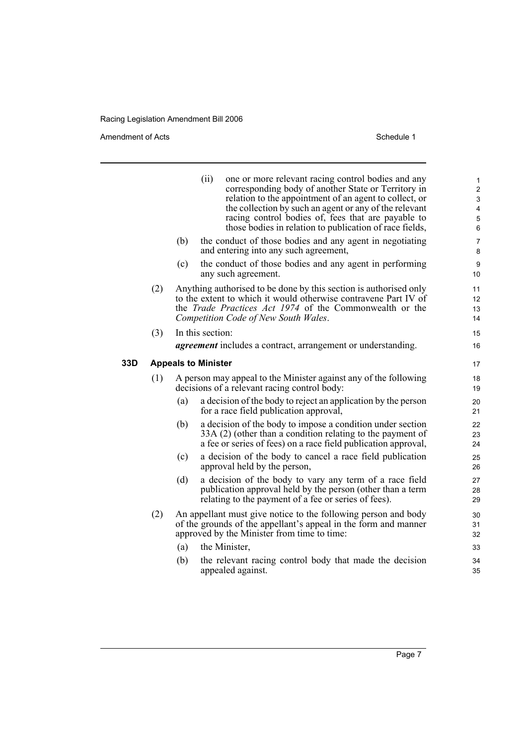Amendment of Acts Schedule 1

33D

|     |     | (ii)<br>one or more relevant racing control bodies and any<br>corresponding body of another State or Territory in<br>relation to the appointment of an agent to collect, or<br>the collection by such an agent or any of the relevant<br>racing control bodies of, fees that are payable to<br>those bodies in relation to publication of race fields, | $\mathbf{1}$<br>$\overline{c}$<br>3<br>4<br>$\mathbf 5$<br>6 |
|-----|-----|--------------------------------------------------------------------------------------------------------------------------------------------------------------------------------------------------------------------------------------------------------------------------------------------------------------------------------------------------------|--------------------------------------------------------------|
|     | (b) | the conduct of those bodies and any agent in negotiating<br>and entering into any such agreement,                                                                                                                                                                                                                                                      | 7<br>8                                                       |
|     | (c) | the conduct of those bodies and any agent in performing<br>any such agreement.                                                                                                                                                                                                                                                                         | 9<br>10                                                      |
| (2) |     | Anything authorised to be done by this section is authorised only<br>to the extent to which it would otherwise contravene Part IV of<br>the Trade Practices Act 1974 of the Commonwealth or the<br>Competition Code of New South Wales.                                                                                                                | 11<br>12<br>13<br>14                                         |
| (3) |     | In this section:                                                                                                                                                                                                                                                                                                                                       | 15                                                           |
|     |     | <i>agreement</i> includes a contract, arrangement or understanding.                                                                                                                                                                                                                                                                                    | 16                                                           |
|     |     | <b>Appeals to Minister</b>                                                                                                                                                                                                                                                                                                                             | 17                                                           |
| (1) |     | A person may appeal to the Minister against any of the following<br>decisions of a relevant racing control body:                                                                                                                                                                                                                                       | 18<br>19                                                     |
|     | (a) | a decision of the body to reject an application by the person<br>for a race field publication approval,                                                                                                                                                                                                                                                | 20<br>21                                                     |
|     | (b) | a decision of the body to impose a condition under section<br>33A (2) (other than a condition relating to the payment of<br>a fee or series of fees) on a race field publication approval,                                                                                                                                                             | 22<br>23<br>24                                               |
|     | (c) | a decision of the body to cancel a race field publication<br>approval held by the person,                                                                                                                                                                                                                                                              | 25<br>26                                                     |
|     | (d) | a decision of the body to vary any term of a race field<br>publication approval held by the person (other than a term<br>relating to the payment of a fee or series of fees).                                                                                                                                                                          | 27<br>28<br>29                                               |
| (2) |     | An appellant must give notice to the following person and body<br>of the grounds of the appellant's appeal in the form and manner<br>approved by the Minister from time to time:                                                                                                                                                                       | 30<br>31<br>32                                               |
|     | (a) | the Minister,                                                                                                                                                                                                                                                                                                                                          | 33                                                           |
|     | (b) | the relevant racing control body that made the decision<br>appealed against.                                                                                                                                                                                                                                                                           | 34<br>35                                                     |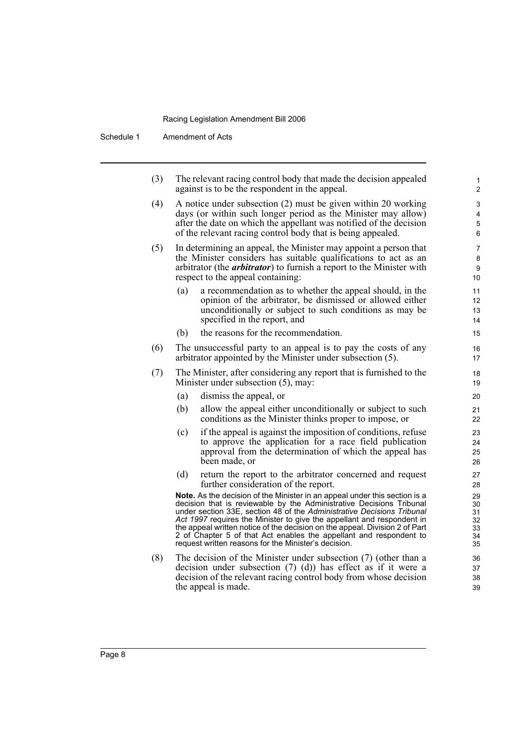Schedule 1 Amendment of Acts

| (3) | The relevant racing control body that made the decision appealed<br>against is to be the respondent in the appeal.                                                                                                                                                                                                                                                                                                                                                                                                  |                                        |  |  |  |
|-----|---------------------------------------------------------------------------------------------------------------------------------------------------------------------------------------------------------------------------------------------------------------------------------------------------------------------------------------------------------------------------------------------------------------------------------------------------------------------------------------------------------------------|----------------------------------------|--|--|--|
| (4) | A notice under subsection (2) must be given within 20 working<br>days (or within such longer period as the Minister may allow)<br>after the date on which the appellant was notified of the decision<br>of the relevant racing control body that is being appealed.                                                                                                                                                                                                                                                 | 3<br>4<br>5<br>6                       |  |  |  |
| (5) | In determining an appeal, the Minister may appoint a person that<br>the Minister considers has suitable qualifications to act as an<br>arbitrator (the <i>arbitrator</i> ) to furnish a report to the Minister with<br>respect to the appeal containing:                                                                                                                                                                                                                                                            | 7<br>8<br>9<br>10                      |  |  |  |
|     | (a)<br>a recommendation as to whether the appeal should, in the<br>opinion of the arbitrator, be dismissed or allowed either<br>unconditionally or subject to such conditions as may be<br>specified in the report, and                                                                                                                                                                                                                                                                                             | 11<br>12<br>13<br>14                   |  |  |  |
|     | the reasons for the recommendation.<br>(b)                                                                                                                                                                                                                                                                                                                                                                                                                                                                          | 15                                     |  |  |  |
| (6) | The unsuccessful party to an appeal is to pay the costs of any<br>arbitrator appointed by the Minister under subsection (5).                                                                                                                                                                                                                                                                                                                                                                                        | 16<br>17                               |  |  |  |
| (7) | The Minister, after considering any report that is furnished to the<br>Minister under subsection (5), may:                                                                                                                                                                                                                                                                                                                                                                                                          | 18<br>19                               |  |  |  |
|     | dismiss the appeal, or<br>(a)                                                                                                                                                                                                                                                                                                                                                                                                                                                                                       | 20                                     |  |  |  |
|     | (b)<br>allow the appeal either unconditionally or subject to such<br>conditions as the Minister thinks proper to impose, or                                                                                                                                                                                                                                                                                                                                                                                         | 21<br>22                               |  |  |  |
|     | if the appeal is against the imposition of conditions, refuse<br>(c)<br>to approve the application for a race field publication<br>approval from the determination of which the appeal has<br>been made, or                                                                                                                                                                                                                                                                                                         | 23<br>24<br>25<br>26                   |  |  |  |
|     | (d)<br>return the report to the arbitrator concerned and request<br>further consideration of the report.                                                                                                                                                                                                                                                                                                                                                                                                            | 27<br>28                               |  |  |  |
|     | Note. As the decision of the Minister in an appeal under this section is a<br>decision that is reviewable by the Administrative Decisions Tribunal<br>under section 33E, section 48 of the Administrative Decisions Tribunal<br>Act 1997 requires the Minister to give the appellant and respondent in<br>the appeal written notice of the decision on the appeal. Division 2 of Part<br>2 of Chapter 5 of that Act enables the appellant and respondent to<br>request written reasons for the Minister's decision. | 29<br>30<br>31<br>32<br>33<br>34<br>35 |  |  |  |
| (8) | The decision of the Minister under subsection (7) (other than a<br>decision under subsection $(7)$ $(d)$ ) has effect as if it were a                                                                                                                                                                                                                                                                                                                                                                               | 36<br>37                               |  |  |  |

decision of the relevant racing control body from whose decision

38 39

the appeal is made.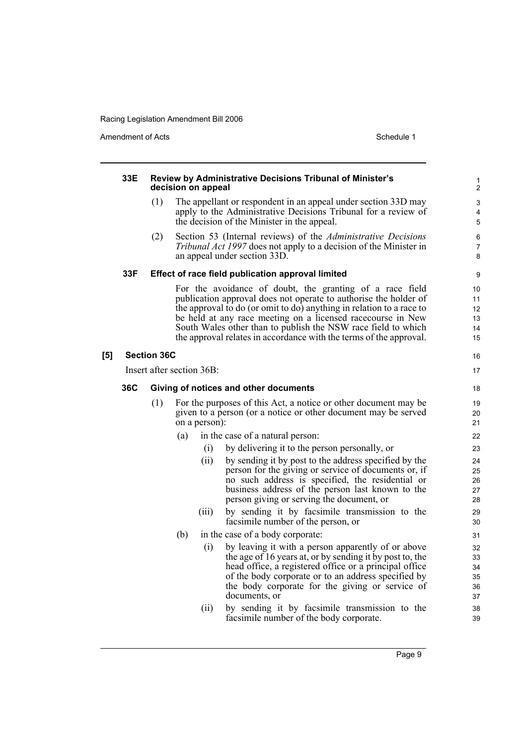Amendment of Acts **Amendment of Acts** Schedule 1

#### **33E Review by Administrative Decisions Tribunal of Minister's decision on appeal** (1) The appellant or respondent in an appeal under section 33D may apply to the Administrative Decisions Tribunal for a review of the decision of the Minister in the appeal. (2) Section 53 (Internal reviews) of the *Administrative Decisions Tribunal Act 1997* does not apply to a decision of the Minister in an appeal under section 33D. **33F Effect of race field publication approval limited** For the avoidance of doubt, the granting of a race field publication approval does not operate to authorise the holder of the approval to do (or omit to do) anything in relation to a race to be held at any race meeting on a licensed racecourse in New South Wales other than to publish the NSW race field to which the approval relates in accordance with the terms of the approval. **[5] Section 36C** Insert after section 36B: **36C Giving of notices and other documents** (1) For the purposes of this Act, a notice or other document may be given to a person (or a notice or other document may be served on a person): (a) in the case of a natural person: (i) by delivering it to the person personally, or (ii) by sending it by post to the address specified by the person for the giving or service of documents or, if no such address is specified, the residential or business address of the person last known to the person giving or serving the document, or (iii) by sending it by facsimile transmission to the facsimile number of the person, or (b) in the case of a body corporate: (i) by leaving it with a person apparently of or above the age of 16 years at, or by sending it by post to, the head office, a registered office or a principal office of the body corporate or to an address specified by the body corporate for the giving or service of documents, or (ii) by sending it by facsimile transmission to the facsimile number of the body corporate. 1 2 3 4 5 6 7 8 9 10 11 12 13 14 15 16 17 18 19 20 21 22 23 24 25 26 27 28 29 30 31 32 33 34 35 36 37 38 39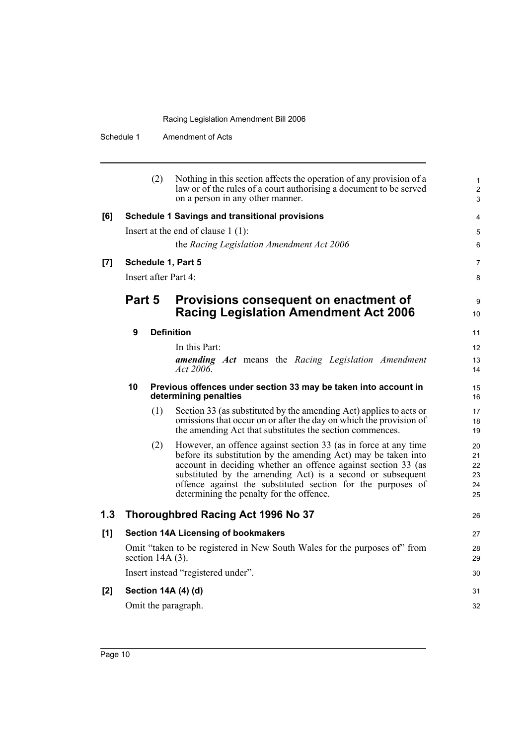Schedule 1 Amendment of Acts

|     |                                            | (2)                | Nothing in this section affects the operation of any provision of a<br>law or of the rules of a court authorising a document to be served<br>on a person in any other manner.                                                                                                                                                                                               |  |
|-----|--------------------------------------------|--------------------|-----------------------------------------------------------------------------------------------------------------------------------------------------------------------------------------------------------------------------------------------------------------------------------------------------------------------------------------------------------------------------|--|
| [6] |                                            |                    | <b>Schedule 1 Savings and transitional provisions</b>                                                                                                                                                                                                                                                                                                                       |  |
|     |                                            |                    | Insert at the end of clause $1(1)$ :                                                                                                                                                                                                                                                                                                                                        |  |
|     |                                            |                    | the Racing Legislation Amendment Act 2006                                                                                                                                                                                                                                                                                                                                   |  |
| [7] |                                            |                    | Schedule 1, Part 5                                                                                                                                                                                                                                                                                                                                                          |  |
|     |                                            |                    | Insert after Part 4:                                                                                                                                                                                                                                                                                                                                                        |  |
|     | Part 5                                     |                    | Provisions consequent on enactment of<br><b>Racing Legislation Amendment Act 2006</b>                                                                                                                                                                                                                                                                                       |  |
|     | 9                                          |                    | <b>Definition</b>                                                                                                                                                                                                                                                                                                                                                           |  |
|     |                                            |                    | In this Part:                                                                                                                                                                                                                                                                                                                                                               |  |
|     |                                            |                    | <b>amending Act</b> means the Racing Legislation Amendment<br>Act 2006.                                                                                                                                                                                                                                                                                                     |  |
|     | 10                                         |                    | Previous offences under section 33 may be taken into account in<br>determining penalties                                                                                                                                                                                                                                                                                    |  |
|     |                                            | (1)                | Section 33 (as substituted by the amending Act) applies to acts or<br>omissions that occur on or after the day on which the provision of<br>the amending Act that substitutes the section commences.                                                                                                                                                                        |  |
|     |                                            | (2)                | However, an offence against section 33 (as in force at any time<br>before its substitution by the amending Act) may be taken into<br>account in deciding whether an offence against section 33 (as<br>substituted by the amending Act) is a second or subsequent<br>offence against the substituted section for the purposes of<br>determining the penalty for the offence. |  |
| 1.3 |                                            |                    | <b>Thoroughbred Racing Act 1996 No 37</b>                                                                                                                                                                                                                                                                                                                                   |  |
| [1] | <b>Section 14A Licensing of bookmakers</b> |                    |                                                                                                                                                                                                                                                                                                                                                                             |  |
|     |                                            | section $14A(3)$ . | Omit "taken to be registered in New South Wales for the purposes of" from                                                                                                                                                                                                                                                                                                   |  |
|     |                                            |                    | Insert instead "registered under".                                                                                                                                                                                                                                                                                                                                          |  |
| [2] |                                            |                    | Section 14A (4) (d)                                                                                                                                                                                                                                                                                                                                                         |  |
|     |                                            |                    | Omit the paragraph.                                                                                                                                                                                                                                                                                                                                                         |  |
|     |                                            |                    |                                                                                                                                                                                                                                                                                                                                                                             |  |